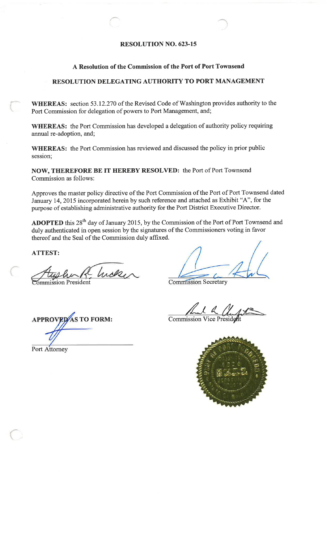# **RESOLUTION NO. 623-15**

# A Resolution of the Commission of the Port of Port Townsend

# RESOLUTION DELEGATING AUTHORITY TO PORT MANAGEMENT

WHEREAS: section 53.12.270 of the Revised Code of Washington provides authority to the Port Commission for delegation of powers to Port Management, and;

WHEREAS: the Port Commission has developed a delegation of authority policy requiring annual re-adoption, and;

**WHEREAS:** the Port Commission has reviewed and discussed the policy in prior public session;

NOW, THEREFORE BE IT HEREBY RESOLVED: the Port of Port Townsend Commission as follows:

Approves the master policy directive of the Port Commission of the Port of Port Townsend dated January 14, 2015 incorporated herein by such reference and attached as Exhibit "A", for the purpose of establishing administrative authority for the Port District Executive Director.

ADOPTED this 28<sup>th</sup> day of January 2015, by the Commission of the Port of Port Townsend and duly authenticated in open session by the signatures of the Commissioners voting in favor thereof and the Seal of the Commission duly affixed.

**ATTEST:** 

Incke

**Commission Secretary** 

**Commission Vice President** 



**APPROVED**AS TO FORM:

Port Attorney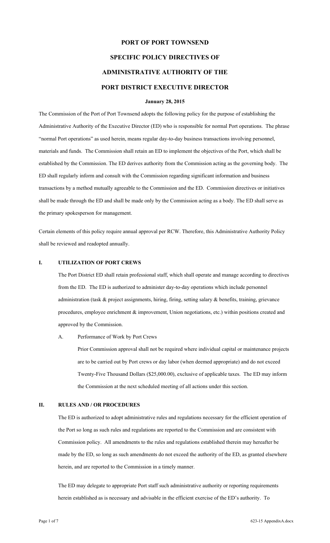# **PORT OF PORT TOWNSEND SPECIFIC POLICY DIRECTIVES OF ADMINISTRATIVE AUTHORITY OF THE PORT DISTRICT EXECUTIVE DIRECTOR**

#### **January 28, 2015**

The Commission of the Port of Port Townsend adopts the following policy for the purpose of establishing the Administrative Authority of the Executive Director (ED) who is responsible for normal Port operations. The phrase "normal Port operations" as used herein, means regular day-to-day business transactions involving personnel, materials and funds. The Commission shall retain an ED to implement the objectives of the Port, which shall be established by the Commission. The ED derives authority from the Commission acting as the governing body. The ED shall regularly inform and consult with the Commission regarding significant information and business transactions by a method mutually agreeable to the Commission and the ED. Commission directives or initiatives shall be made through the ED and shall be made only by the Commission acting as a body. The ED shall serve as the primary spokesperson for management.

Certain elements of this policy require annual approval per RCW. Therefore, this Administrative Authority Policy shall be reviewed and readopted annually.

#### **I. UTILIZATION OF PORT CREWS**

The Port District ED shall retain professional staff, which shall operate and manage according to directives from the ED. The ED is authorized to administer day-to-day operations which include personnel administration (task & project assignments, hiring, firing, setting salary & benefits, training, grievance procedures, employee enrichment & improvement, Union negotiations, etc.) within positions created and approved by the Commission.

#### A. Performance of Work by Port Crews

Prior Commission approval shall not be required where individual capital or maintenance projects are to be carried out by Port crews or day labor (when deemed appropriate) and do not exceed Twenty-Five Thousand Dollars (\$25,000.00), exclusive of applicable taxes. The ED may inform the Commission at the next scheduled meeting of all actions under this section.

## **II. RULES AND / OR PROCEDURES**

The ED is authorized to adopt administrative rules and regulations necessary for the efficient operation of the Port so long as such rules and regulations are reported to the Commission and are consistent with Commission policy. All amendments to the rules and regulations established therein may hereafter be made by the ED, so long as such amendments do not exceed the authority of the ED, as granted elsewhere herein, and are reported to the Commission in a timely manner.

The ED may delegate to appropriate Port staff such administrative authority or reporting requirements herein established as is necessary and advisable in the efficient exercise of the ED's authority. To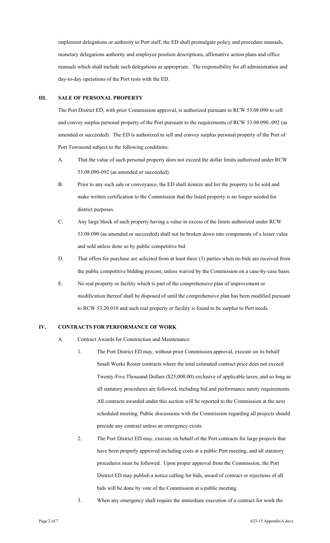implement delegations or authority to Port staff, the ED shall promulgate policy and procedure manuals, monetary delegations authority and employee position descriptions, affirmative action plans and office manuals which shall include such delegations as appropriate. The responsibility for all administration and day-to-day operations of the Port rests with the ED.

#### **III. SALE OF PERSONAL PROPERTY**

The Port District ED, with prior Commission approval, is authorized pursuant to RCW 53.08.090 to sell and convey surplus personal property of the Port pursuant to the requirements of RCW 53.08.090.-092 (as amended or succeeded). The ED is authorized to sell and convey surplus personal property of the Port of Port Townsend subject to the following conditions:

- A. That the value of such personal property does not exceed the dollar limits authorized under RCW 53.08.090-092 (as amended or succeeded).
- B. Prior to any such sale or conveyance, the ED shall itemize and list the property to be sold and make written certification to the Commission that the listed property is no longer needed for district purposes.
- C. Any large block of such property having a value in excess of the limits authorized under RCW 53.08.090 (as amended or succeeded) shall not be broken down into components of a lesser value and sold unless done so by public competitive bid.
- D. That offers for purchase are solicited from at least three (3) parties when no bids are received from the public competitive bidding process; unless waived by the Commission on a case-by-case basis.
- E. No real property or facility which is part of the comprehensive plan of improvement or modification thereof shall be disposed of until the comprehensive plan has been modified pursuant to RCW 53.20.010 and such real property or facility is found to be surplus to Port needs.

# **IV. CONTRACTS FOR PERFORMANCE OF WORK**

- A. Contract Awards for Construction and Maintenance
	- 1. The Port District ED may, without prior Commission approval, execute on its behalf Small Works Roster contracts where the total estimated contract price does not exceed Twenty-Five Thousand Dollars (\$25,000.00) exclusive of applicable taxes, and so long as all statutory procedures are followed, including bid and performance surety requirements. All contracts awarded under this section will be reported to the Commission at the next scheduled meeting. Public discussions with the Commission regarding all projects should precede any contract unless an emergency exists.
	- 2. The Port District ED may, execute on behalf of the Port contracts for large projects that have been properly approved including costs at a public Port meeting, and all statutory procedures must be followed. Upon proper approval from the Commission, the Port District ED may publish a notice calling for bids, award of contract or rejections of all bids will be done by vote of the Commission at a public meeting.
	- 3. When any emergency shall require the immediate execution of a contract for work the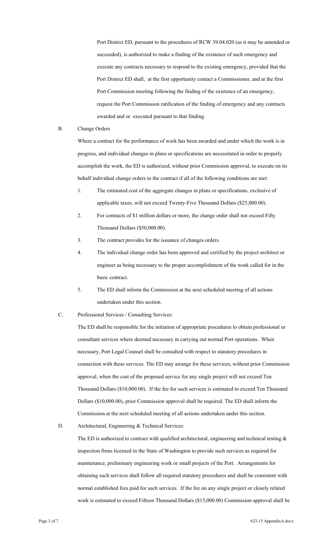Port District ED, pursuant to the procedures of RCW 39.04.020 (as it may be amended or succeeded), is authorized to make a finding of the existence of such emergency and execute any contracts necessary to respond to the existing emergency, provided that the Port District ED shall, at the first opportunity contact a Commissioner, and at the first Port Commission meeting following the finding of the existence of an emergency, request the Port Commission ratification of the finding of emergency and any contracts awarded and or executed pursuant to that finding.

#### B. Change Orders

Where a contract for the performance of work has been awarded and under which the work is in progress, and individual changes in plans or specifications are necessitated in order to properly accomplish the work, the ED is authorized, without prior Commission approval, to execute on its behalf individual change orders to the contract if all of the following conditions are met:

- 1. The estimated cost of the aggregate changes in plans or specifications, exclusive of applicable taxes, will not exceed Twenty-Five Thousand Dollars (\$25,000.00).
- 2. For contracts of \$1 million dollars or more, the change order shall not exceed Fifty Thousand Dollars (\$50,000.00).
- 3. The contract provides for the issuance of changes orders.
- 4. The individual change order has been approved and certified by the project architect or engineer as being necessary to the proper accomplishment of the work called for in the basic contract.
- 5. The ED shall inform the Commission at the next scheduled meeting of all actions undertaken under this section.
- C. Professional Services / Consulting Services:

The ED shall be responsible for the initiation of appropriate procedures to obtain professional or consultant services where deemed necessary in carrying out normal Port operations. When necessary, Port Legal Counsel shall be consulted with respect to statutory procedures in connection with these services. The ED may arrange for these services, without prior Commission approval, when the cost of the proposed service for any single project will not exceed Ten Thousand Dollars (\$10,000.00). If the fee for such services is estimated to exceed Ten Thousand Dollars (\$10,000.00), prior Commission approval shall be required. The ED shall inform the Commission at the next scheduled meeting of all actions undertaken under this section.

D. Architectural, Engineering & Technical Services:

The ED is authorized to contract with qualified architectural, engineering and technical testing  $\&$ inspection firms licensed in the State of Washington to provide such services as required for maintenance, preliminary engineering work or small projects of the Port. Arrangements for obtaining such services shall follow all required statutory procedures and shall be consistent with normal established fees paid for such services. If the fee on any single project or closely related work is estimated to exceed Fifteen Thousand Dollars (\$15,000.00) Commission approval shall be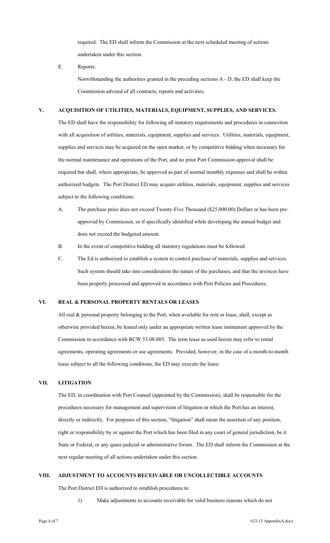required. The ED shall inform the Commission at the next scheduled meeting of actions undertaken under this section.

E. Reports:

Notwithstanding the authorities granted in the preceding sections A - D, the ED shall keep the Commission advised of all contracts, reports and activities.

## **V. ACQUISITION OF UTILITIES, MATERIALS, EQUIPMENT, SUPPLIES, AND SERVICES.**

The ED shall have the responsibility for following all statutory requirements and procedures in connection with all acquisition of utilities, materials, equipment, supplies and services. Utilities, materials, equipment, supplies and services may be acquired on the open market, or by competitive bidding when necessary for the normal maintenance and operations of the Port, and no prior Port Commission approval shall be required but shall, where appropriate, be approved as part of normal monthly expenses and shall be within authorized budgets. The Port District ED may acquire utilities, materials, equipment, supplies and services subject to the following conditions:

- A. The purchase price does not exceed Twenty-Five Thousand (\$25,000.00) Dollars or has been preapproved by Commission, or if specifically identified while developing the annual budget and does not exceed the budgeted amount.
- B. In the event of competitive bidding all statutory regulations must be followed.
- C. The Ed is authorized to establish a system to control purchase of materials, supplies and services. Such system should take into consideration the nature of the purchases, and that the invoices have been properly processed and approved in accordance with Port Policies and Procedures.

#### **VI. REAL & PERSONAL PROPERTY RENTALS OR LEASES**

All real & personal property belonging to the Port, when available for rent or lease, shall, except as otherwise provided herein, be leased only under an appropriate written lease instrument approved by the Commission in accordance with RCW 53.08.085. The term lease as used herein may refer to rental agreements, operating agreements or use agreements. Provided, however, in the case of a month-to-month lease subject to all the following conditions, the ED may execute the lease:

## **VII. LITIGATION**

The ED, in coordination with Port Counsel (appointed by the Commission), shall be responsible for the procedures necessary for management and supervision of litigation in which the Port has an interest, directly or indirectly. For purposes of this section, "litigation" shall mean the assertion of any position, right or responsibility by or against the Port which has been filed in any court of general jurisdiction, be it State or Federal, or any quasi-judicial or administrative forum. The ED shall inform the Commission at the next regular meeting of all actions undertaken under this section.

#### **VIII. ADJUSTMENT TO ACCOUNTS RECEIVABLE OR UNCOLLECTIBLE ACCOUNTS**

The Port District ED is authorized to establish procedures to:

1) Make adjustments to accounts receivable for valid business reasons which do not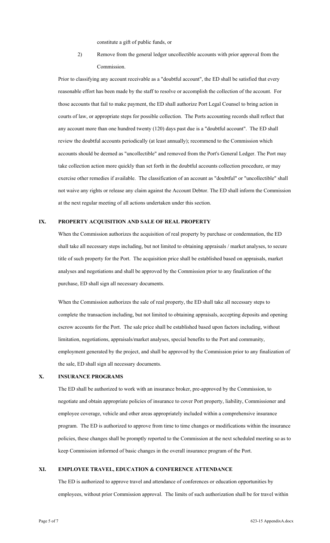constitute a gift of public funds, or

2) Remove from the general ledger uncollectible accounts with prior approval from the Commission.

Prior to classifying any account receivable as a "doubtful account", the ED shall be satisfied that every reasonable effort has been made by the staff to resolve or accomplish the collection of the account. For those accounts that fail to make payment, the ED shall authorize Port Legal Counsel to bring action in courts of law, or appropriate steps for possible collection. The Ports accounting records shall reflect that any account more than one hundred twenty (120) days past due is a "doubtful account". The ED shall review the doubtful accounts periodically (at least annually); recommend to the Commission which accounts should be deemed as "uncollectible" and removed from the Port's General Ledger. The Port may take collection action more quickly than set forth in the doubtful accounts collection procedure, or may exercise other remedies if available. The classification of an account as "doubtful" or "uncollectible" shall not waive any rights or release any claim against the Account Debtor. The ED shall inform the Commission at the next regular meeting of all actions undertaken under this section.

### **IX. PROPERTY ACQUISITION AND SALE OF REAL PROPERTY**

When the Commission authorizes the acquisition of real property by purchase or condemnation, the ED shall take all necessary steps including, but not limited to obtaining appraisals / market analyses, to secure title of such property for the Port. The acquisition price shall be established based on appraisals, market analyses and negotiations and shall be approved by the Commission prior to any finalization of the purchase, ED shall sign all necessary documents.

When the Commission authorizes the sale of real property, the ED shall take all necessary steps to complete the transaction including, but not limited to obtaining appraisals, accepting deposits and opening escrow accounts for the Port. The sale price shall be established based upon factors including, without limitation, negotiations, appraisals/market analyses, special benefits to the Port and community, employment generated by the project, and shall be approved by the Commission prior to any finalization of the sale, ED shall sign all necessary documents.

#### **X. INSURANCE PROGRAMS**

The ED shall be authorized to work with an insurance broker, pre-approved by the Commission, to negotiate and obtain appropriate policies of insurance to cover Port property, liability, Commissioner and employee coverage, vehicle and other areas appropriately included within a comprehensive insurance program. The ED is authorized to approve from time to time changes or modifications within the insurance policies, these changes shall be promptly reported to the Commission at the next scheduled meeting so as to keep Commission informed of basic changes in the overall insurance program of the Port.

#### **XI. EMPLOYEE TRAVEL, EDUCATION & CONFERENCE ATTENDANCE**

The ED is authorized to approve travel and attendance of conferences or education opportunities by employees, without prior Commission approval. The limits of such authorization shall be for travel within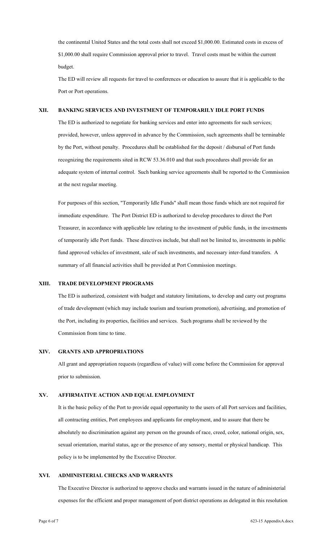the continental United States and the total costs shall not exceed \$1,000.00. Estimated costs in excess of \$1,000.00 shall require Commission approval prior to travel. Travel costs must be within the current budget.

The ED will review all requests for travel to conferences or education to assure that it is applicable to the Port or Port operations.

# **XII. BANKING SERVICES AND INVESTMENT OF TEMPORARILY IDLE PORT FUNDS**

The ED is authorized to negotiate for banking services and enter into agreements for such services; provided, however, unless approved in advance by the Commission, such agreements shall be terminable by the Port, without penalty. Procedures shall be established for the deposit / disbursal of Port funds recognizing the requirements sited in RCW 53.36.010 and that such procedures shall provide for an adequate system of internal control. Such banking service agreements shall be reported to the Commission at the next regular meeting.

For purposes of this section, "Temporarily Idle Funds" shall mean those funds which are not required for immediate expenditure. The Port District ED is authorized to develop procedures to direct the Port Treasurer, in accordance with applicable law relating to the investment of public funds, in the investments of temporarily idle Port funds. These directives include, but shall not be limited to, investments in public fund approved vehicles of investment, sale of such investments, and necessary inter-fund transfers. A summary of all financial activities shall be provided at Port Commission meetings.

## **XIII. TRADE DEVELOPMENT PROGRAMS**

The ED is authorized, consistent with budget and statutory limitations, to develop and carry out programs of trade development (which may include tourism and tourism promotion), advertising, and promotion of the Port, including its properties, facilities and services. Such programs shall be reviewed by the Commission from time to time.

#### **XIV. GRANTS AND APPROPRIATIONS**

All grant and appropriation requests (regardless of value) will come before the Commission for approval prior to submission.

#### **XV. AFFIRMATIVE ACTION AND EQUAL EMPLOYMENT**

It is the basic policy of the Port to provide equal opportunity to the users of all Port services and facilities, all contracting entities, Port employees and applicants for employment, and to assure that there be absolutely no discrimination against any person on the grounds of race, creed, color, national origin, sex, sexual orientation, marital status, age or the presence of any sensory, mental or physical handicap. This policy is to be implemented by the Executive Director.

## **XVI. ADMINISTERIAL CHECKS AND WARRANTS**

The Executive Director is authorized to approve checks and warrants issued in the nature of administerial expenses for the efficient and proper management of port district operations as delegated in this resolution